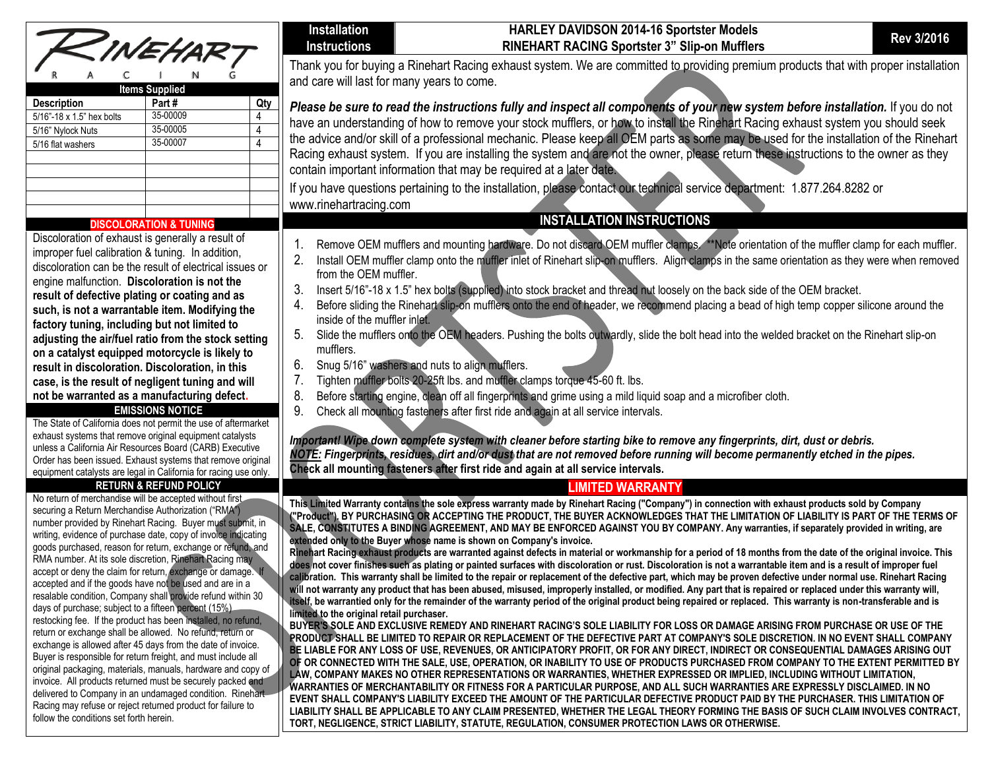|  | ZINEHART |  |  |
|--|----------|--|--|
|  |          |  |  |
|  |          |  |  |

| <b>Items Supplied</b>     |          |  |  |  |
|---------------------------|----------|--|--|--|
| <b>Description</b>        | Part#    |  |  |  |
| 5/16"-18 x 1.5" hex bolts | 35-00009 |  |  |  |
| 5/16" Nylock Nuts         | 35-00005 |  |  |  |
| 5/16 flat washers         | 35-00007 |  |  |  |
|                           |          |  |  |  |
|                           |          |  |  |  |
|                           |          |  |  |  |
|                           |          |  |  |  |

### **DISCOLORATION & TUNING**

Discoloration of exhaust is generally a result of improper fuel calibration & tuning. In addition, discoloration can be the result of electrical issues or engine malfunction. **Discoloration is not the result of defective plating or coating and as such, is not a warrantable item. Modifying the factory tuning, including but not limited to adjusting the air/fuel ratio from the stock setting on a catalyst equipped motorcycle is likely to result in discoloration. Discoloration, in this case, is the result of negligent tuning and will not be warranted as a manufacturing defect.**

#### **EMISSIONS NOTICE**

The State of California does not permit the use of aftermarket exhaust systems that remove original equipment catalysts unless a California Air Resources Board (CARB) Executive Order has been issued. Exhaust systems that remove original equipment catalysts are legal in California for racing use only.

### **RETURN & REFUND POLICY**

No return of merchandise will be accepted without first securing a Return Merchandise Authorization ("RMA") number provided by Rinehart Racing. Buyer must submit, in writing, evidence of purchase date, copy of invoice indicating goods purchased, reason for return, exchange or refund, and RMA number. At its sole discretion, Rinehart Racing may accept or deny the claim for return, exchange or damage. accepted and if the goods have not be used and are in a resalable condition, Company shall provide refund within 30 days of purchase; subject to a fifteen percent (15%) restocking fee. If the product has been installed, no refund, return or exchange shall be allowed. No refund, return or exchange is allowed after 45 days from the date of invoice. Buyer is responsible for return freight, and must include all original packaging, materials, manuals, hardware and copy of invoice. All products returned must be securely packed and delivered to Company in an undamaged condition. Rinehart-Racing may refuse or reject returned product for failure to follow the conditions set forth herein.

#### **Installation Instructions**

# **HARLEY DAVIDSON 2014-16 Sportster Models RINEHART RACING Sportster 3" Slip-on Mufflers Rev 3/2016**

Thank you for buying a Rinehart Racing exhaust system. We are committed to providing premium products that with proper installation and care will last for many years to come.

*Please be sure to read the instructions fully and inspect all components of your new system before installation.* If you do not have an understanding of how to remove your stock mufflers, or how to install the Rinehart Racing exhaust system you should seek the advice and/or skill of a professional mechanic. Please keep all OEM parts as some may be used for the installation of the Rinehart Racing exhaust system. If you are installing the system and are not the owner, please return these instructions to the owner as they contain important information that may be required at a later date.

If you have questions pertaining to the installation, please contact our technical service department: 1.877.264.8282 or [www.rinehartracing.com](http://www.rinehartracing.com/)

# **INSTALLATION INSTRUCTIONS**

- 1. Remove OEM mufflers and mounting hardware. Do not discard OEM muffler clamps. \*\*Note orientation of the muffler clamp for each muffler.
- 2. Install OEM muffler clamp onto the muffler inlet of Rinehart slip-on mufflers. Align clamps in the same orientation as they were when removed from the OEM muffler.
- 3. Insert 5/16"-18 x 1.5" hex bolts (supplied) into stock bracket and thread nut loosely on the back side of the OEM bracket.
- 4. Before sliding the Rinehart slip-on mufflers onto the end of header, we recommend placing a bead of high temp copper silicone around the inside of the muffler inlet.
- 5. Slide the mufflers onto the OEM headers. Pushing the bolts outwardly, slide the bolt head into the welded bracket on the Rinehart slip-on mufflers.
- 6. Snug 5/16" washers and nuts to align mufflers.
- 7. Tighten muffler bolts 20-25ft lbs. and muffler clamps torque 45-60 ft. lbs.
- 8. Before starting engine, clean off all fingerprints and grime using a mild liquid soap and a microfiber cloth.
- 9. Check all mounting fasteners after first ride and again at all service intervals.

*Important! Wipe down complete system with cleaner before starting bike to remove any fingerprints, dirt, dust or debris. NOTE: Fingerprints, residues, dirt and/or dust that are not removed before running will become permanently etched in the pipes.* **Check all mounting fasteners after first ride and again at all service intervals.**

# **LIMITED WARRANTY**

**This Limited Warranty contains the sole express warranty made by Rinehart Racing ("Company") in connection with exhaust products sold by Company ("Product"). BY PURCHASING OR ACCEPTING THE PRODUCT, THE BUYER ACKNOWLEDGES THAT THE LIMITATION OF LIABILITY IS PART OF THE TERMS OF SALE, CONSTITUTES A BINDING AGREEMENT, AND MAY BE ENFORCED AGAINST YOU BY COMPANY. Any warranties, if separately provided in writing, are extended only to the Buyer whose name is shown on Company's invoice.**

**Rinehart Racing exhaust products are warranted against defects in material or workmanship for a period of 18 months from the date of the original invoice. This does not cover finishes such as plating or painted surfaces with discoloration or rust. Discoloration is not a warrantable item and is a result of improper fuel calibration. This warranty shall be limited to the repair or replacement of the defective part, which may be proven defective under normal use. Rinehart Racing**  will not warranty any product that has been abused, misused, improperly installed, or modified. Any part that is repaired or replaced under this warranty will, **itself, be warrantied only for the remainder of the warranty period of the original product being repaired or replaced. This warranty is non-transferable and is limited to the original retail purchaser.** 

**BUYER'S SOLE AND EXCLUSIVE REMEDY AND RINEHART RACING'S SOLE LIABILITY FOR LOSS OR DAMAGE ARISING FROM PURCHASE OR USE OF THE PRODUCT SHALL BE LIMITED TO REPAIR OR REPLACEMENT OF THE DEFECTIVE PART AT COMPANY'S SOLE DISCRETION. IN NO EVENT SHALL COMPANY BE LIABLE FOR ANY LOSS OF USE, REVENUES, OR ANTICIPATORY PROFIT, OR FOR ANY DIRECT, INDIRECT OR CONSEQUENTIAL DAMAGES ARISING OUT OF OR CONNECTED WITH THE SALE, USE, OPERATION, OR INABILITY TO USE OF PRODUCTS PURCHASED FROM COMPANY TO THE EXTENT PERMITTED BY LAW, COMPANY MAKES NO OTHER REPRESENTATIONS OR WARRANTIES, WHETHER EXPRESSED OR IMPLIED, INCLUDING WITHOUT LIMITATION, WARRANTIES OF MERCHANTABILITY OR FITNESS FOR A PARTICULAR PURPOSE, AND ALL SUCH WARRANTIES ARE EXPRESSLY DISCLAIMED. IN NO EVENT SHALL COMPANY'S LIABILITY EXCEED THE AMOUNT OF THE PARTICULAR DEFECTIVE PRODUCT PAID BY THE PURCHASER. THIS LIMITATION OF LIABILITY SHALL BE APPLICABLE TO ANY CLAIM PRESENTED, WHETHER THE LEGAL THEORY FORMING THE BASIS OF SUCH CLAIM INVOLVES CONTRACT, TORT, NEGLIGENCE, STRICT LIABILITY, STATUTE, REGULATION, CONSUMER PROTECTION LAWS OR OTHERWISE.**